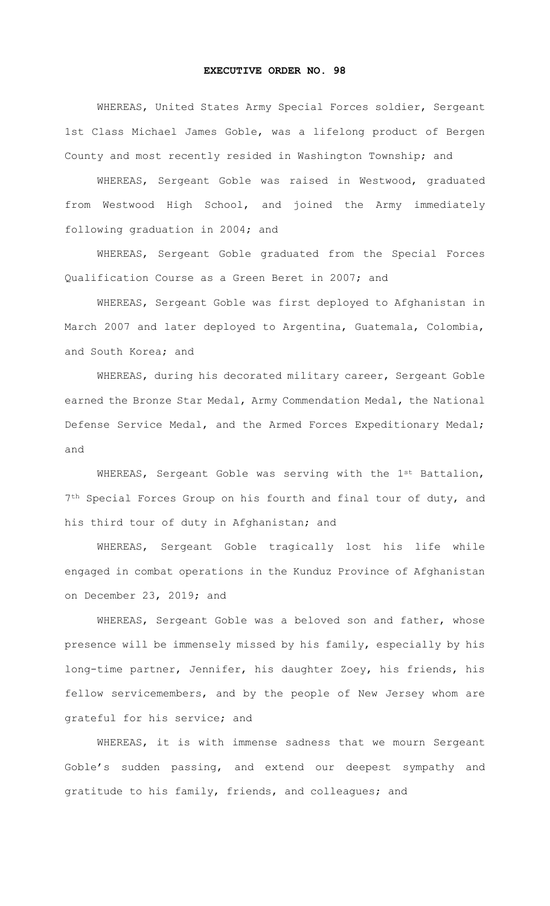## **EXECUTIVE ORDER NO. 98**

 WHEREAS, United States Army Special Forces soldier, Sergeant 1st Class Michael James Goble, was a lifelong product of Bergen County and most recently resided in Washington Township; and

 WHEREAS, Sergeant Goble was raised in Westwood, graduated from Westwood High School, and joined the Army immediately following graduation in 2004; and

 WHEREAS, Sergeant Goble graduated from the Special Forces Qualification Course as a Green Beret in 2007; and

 WHEREAS, Sergeant Goble was first deployed to Afghanistan in March 2007 and later deployed to Argentina, Guatemala, Colombia, and South Korea; and

 WHEREAS, during his decorated military career, Sergeant Goble earned the Bronze Star Medal, Army Commendation Medal, the National Defense Service Medal, and the Armed Forces Expeditionary Medal; and

WHEREAS, Sergeant Goble was serving with the 1st Battalion, 7<sup>th</sup> Special Forces Group on his fourth and final tour of duty, and his third tour of duty in Afghanistan; and

 WHEREAS, Sergeant Goble tragically lost his life while engaged in combat operations in the Kunduz Province of Afghanistan on December 23, 2019; and

 WHEREAS, Sergeant Goble was a beloved son and father, whose presence will be immensely missed by his family, especially by his long-time partner, Jennifer, his daughter Zoey, his friends, his fellow servicemembers, and by the people of New Jersey whom are grateful for his service; and

 WHEREAS, it is with immense sadness that we mourn Sergeant Goble's sudden passing, and extend our deepest sympathy and gratitude to his family, friends, and colleagues; and